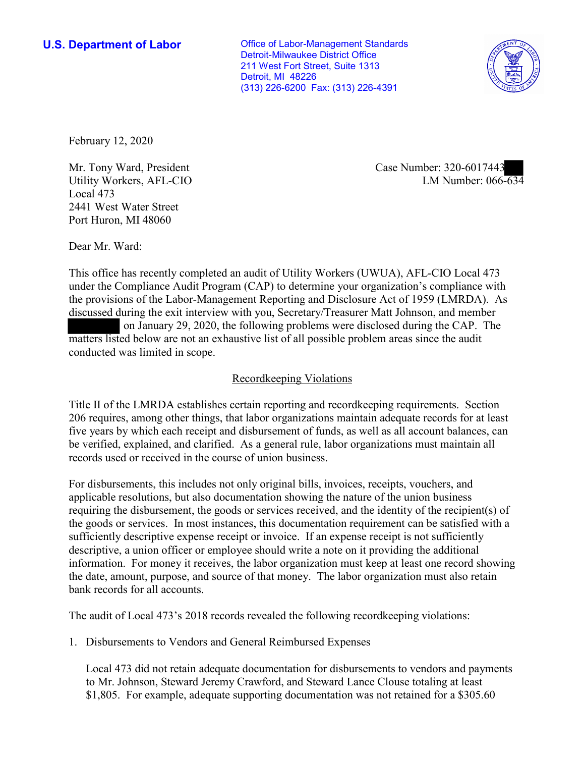**U.S. Department of Labor Conservative Conservative Conservative Conservative U.S.** Department of Labor Detroit-Milwaukee District Office 211 West Fort Street, Suite 1313 Detroit, MI 48226 (313) 226-6200 Fax: (313) 226-4391



February 12, 2020

Utility Workers, AFL-CIO Local 473 2441 West Water Street Port Huron, MI 48060

LM Number:  $066 - 634$ Mr. Tony Ward, President Case Number: 320-6017443

Dear Mr. Ward:

 This office has recently completed an audit of Utility Workers (UWUA), AFL-CIO Local 473 the p<br>discu<br>matt<br>cond under the Compliance Audit Program (CAP) to determine your organization's compliance with the provisions of the Labor-Management Reporting and Disclosure Act of 1959 (LMRDA). As discussed during the exit interview with you, Secretary/Treasurer Matt Johnson, and member on January 29, 2020, the following problems were disclosed during the CAP. The matters listed below are not an exhaustive list of all possible problem areas since the audit conducted was limited in scope.

# Recordkeeping Violations

 Title II of the LMRDA establishes certain reporting and recordkeeping requirements. Section 206 requires, among other things, that labor organizations maintain adequate records for at least five years by which each receipt and disbursement of funds, as well as all account balances, can be verified, explained, and clarified. As a general rule, labor organizations must maintain all records used or received in the course of union business.

For disbursements, this includes not only original bills, invoices, receipts, vouchers, and applicable resolutions, but also documentation showing the nature of the union business requiring the disbursement, the goods or services received, and the identity of the recipient(s) of the goods or services. In most instances, this documentation requirement can be satisfied with a sufficiently descriptive expense receipt or invoice. If an expense receipt is not sufficiently descriptive, a union officer or employee should write a note on it providing the additional information. For money it receives, the labor organization must keep at least one record showing the date, amount, purpose, and source of that money. The labor organization must also retain bank records for all accounts.

The audit of Local 473's 2018 records revealed the following recordkeeping violations:

1. Disbursements to Vendors and General Reimbursed Expenses

Local 473 did not retain adequate documentation for disbursements to vendors and payments to Mr. Johnson, Steward Jeremy Crawford, and Steward Lance Clouse totaling at least \$1,805. For example, adequate supporting documentation was not retained for a \$305.60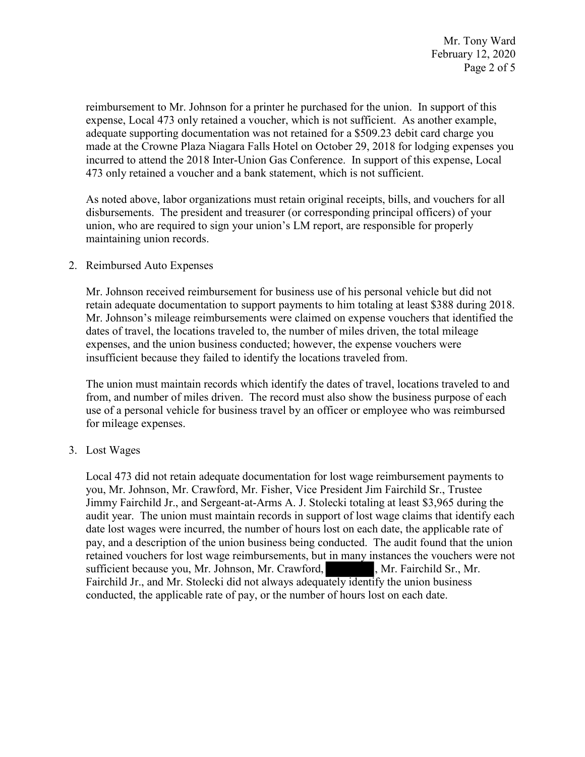reimbursement to Mr. Johnson for a printer he purchased for the union. In support of this expense, Local 473 only retained a voucher, which is not sufficient. As another example, adequate supporting documentation was not retained for a \$509.23 debit card charge you made at the Crowne Plaza Niagara Falls Hotel on October 29, 2018 for lodging expenses you incurred to attend the 2018 Inter-Union Gas Conference. In support of this expense, Local 473 only retained a voucher and a bank statement, which is not sufficient.

 disbursements. The president and treasurer (or corresponding principal officers) of your As noted above, labor organizations must retain original receipts, bills, and vouchers for all union, who are required to sign your union's LM report, are responsible for properly maintaining union records.

### 2. Reimbursed Auto Expenses

Mr. Johnson received reimbursement for business use of his personal vehicle but did not retain adequate documentation to support payments to him totaling at least \$388 during 2018. Mr. Johnson's mileage reimbursements were claimed on expense vouchers that identified the dates of travel, the locations traveled to, the number of miles driven, the total mileage expenses, and the union business conducted; however, the expense vouchers were insufficient because they failed to identify the locations traveled from.

The union must maintain records which identify the dates of travel, locations traveled to and from, and number of miles driven. The record must also show the business purpose of each use of a personal vehicle for business travel by an officer or employee who was reimbursed for mileage expenses.

### 3. Lost Wages

ondue<br>t in m<br>ately<br>of he Local 473 did not retain adequate documentation for lost wage reimbursement payments to you, Mr. Johnson, Mr. Crawford, Mr. Fisher, Vice President Jim Fairchild Sr., Trustee Jimmy Fairchild Jr., and Sergeant-at-Arms A. J. Stolecki totaling at least \$3,965 during the audit year. The union must maintain records in support of lost wage claims that identify each date lost wages were incurred, the number of hours lost on each date, the applicable rate of pay, and a description of the union business being conducted. The audit found that the union retained vouchers for lost wage reimbursements, but in many instances the vouchers were not sufficient because you, Mr. Johnson, Mr. Crawford, Mr. Fairchild Sr., Mr. Fairchild Jr., and Mr. Stolecki did not always adequately identify the union business conducted, the applicable rate of pay, or the number of hours lost on each date.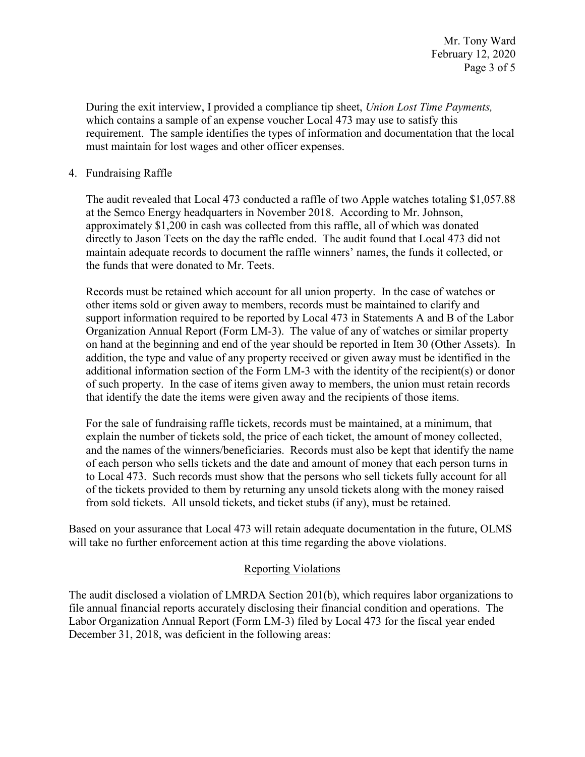which contains a sample of an expense voucher Local 473 may use to satisfy this During the exit interview, I provided a compliance tip sheet, *Union Lost Time Payments,*  requirement. The sample identifies the types of information and documentation that the local must maintain for lost wages and other officer expenses.

## 4. Fundraising Raffle

 The audit revealed that Local 473 conducted a raffle of two Apple watches totaling \$[1,057.88](https://1,057.88)  directly to Jason Teets on the day the raffle ended. The audit found that Local 473 did not maintain adequate records to document the raffle winners' names, the funds it collected, or at the Semco Energy headquarters in November 2018. According to Mr. Johnson, approximately \$1,200 in cash was collected from this raffle, all of which was donated the funds that were donated to Mr. Teets.

 addition, the type and value of any property received or given away must be identified in the that identify the date the items were given away and the recipients of those items. Records must be retained which account for all union property. In the case of watches or other items sold or given away to members, records must be maintained to clarify and support information required to be reported by Local 473 in Statements A and B of the Labor Organization Annual Report (Form LM-3). The value of any of watches or similar property on hand at the beginning and end of the year should be reported in Item 30 (Other Assets). In additional information section of the Form LM-3 with the identity of the recipient(s) or donor of such property. In the case of items given away to members, the union must retain records

For the sale of fundraising raffle tickets, records must be maintained, at a minimum, that explain the number of tickets sold, the price of each ticket, the amount of money collected, and the names of the winners/beneficiaries. Records must also be kept that identify the name of each person who sells tickets and the date and amount of money that each person turns in to Local 473. Such records must show that the persons who sell tickets fully account for all of the tickets provided to them by returning any unsold tickets along with the money raised from sold tickets. All unsold tickets, and ticket stubs (if any), must be retained.

 Based on your assurance that Local 473 will retain adequate documentation in the future, OLMS will take no further enforcement action at this time regarding the above violations.

### Reporting Violations

 Labor Organization Annual Report (Form LM-3) filed by Local 473 for the fiscal year ended The audit disclosed a violation of LMRDA Section 201(b), which requires labor organizations to file annual financial reports accurately disclosing their financial condition and operations. The December 31, 2018, was deficient in the following areas: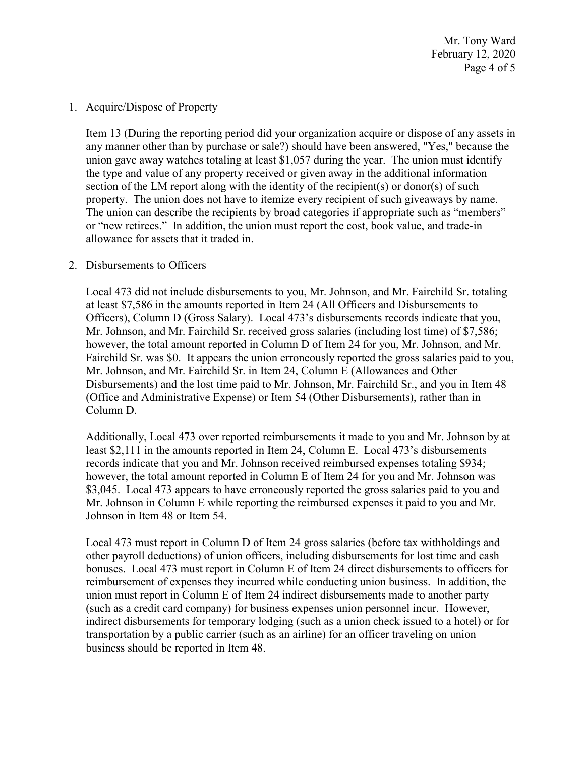February 12, 2020 Page 4 of 5 Mr. Tony Ward

1. Acquire/Dispose of Property

 union gave away watches totaling at least \$1,057 during the year. The union must identify section of the LM report along with the identity of the recipient(s) or donor(s) of such or "new retirees." In addition, the union must report the cost, book value, and trade-in Item 13 (During the reporting period did your organization acquire or dispose of any assets in any manner other than by purchase or sale?) should have been answered, "Yes," because the the type and value of any property received or given away in the additional information property. The union does not have to itemize every recipient of such giveaways by name. The union can describe the recipients by broad categories if appropriate such as "members" allowance for assets that it traded in.

### 2. Disbursements to Officers

 at least \$7,586 in the amounts reported in Item 24 (All Officers and Disbursements to Mr. Johnson, and Mr. Fairchild Sr. received gross salaries (including lost time) of \$7,586; however, the total amount reported in Column D of Item 24 for you, Mr. Johnson, and Mr. Fairchild Sr. was \$0. It appears the union erroneously reported the gross salaries paid to you, Mr. Johnson, and Mr. Fairchild Sr. in Item 24, Column E (Allowances and Other Local 473 did not include disbursements to you, Mr. Johnson, and Mr. Fairchild Sr. totaling Officers), Column D (Gross Salary). Local 473's disbursements records indicate that you, Disbursements) and the lost time paid to Mr. Johnson, Mr. Fairchild Sr., and you in Item 48 (Office and Administrative Expense) or Item 54 (Other Disbursements), rather than in Column D.

 however, the total amount reported in Column E of Item 24 for you and Mr. Johnson was \$3,045. Local 473 appears to have erroneously reported the gross salaries paid to you and Johnson in Item 48 or Item 54. Additionally, Local 473 over reported reimbursements it made to you and Mr. Johnson by at least \$2,111 in the amounts reported in Item 24, Column E. Local 473's disbursements records indicate that you and Mr. Johnson received reimbursed expenses totaling \$934; Mr. Johnson in Column E while reporting the reimbursed expenses it paid to you and Mr.

 transportation by a public carrier (such as an airline) for an officer traveling on union Local 473 must report in Column D of Item 24 gross salaries (before tax withholdings and other payroll deductions) of union officers, including disbursements for lost time and cash bonuses. Local 473 must report in Column E of Item 24 direct disbursements to officers for reimbursement of expenses they incurred while conducting union business. In addition, the union must report in Column E of Item 24 indirect disbursements made to another party (such as a credit card company) for business expenses union personnel incur. However, indirect disbursements for temporary lodging (such as a union check issued to a hotel) or for business should be reported in Item 48.